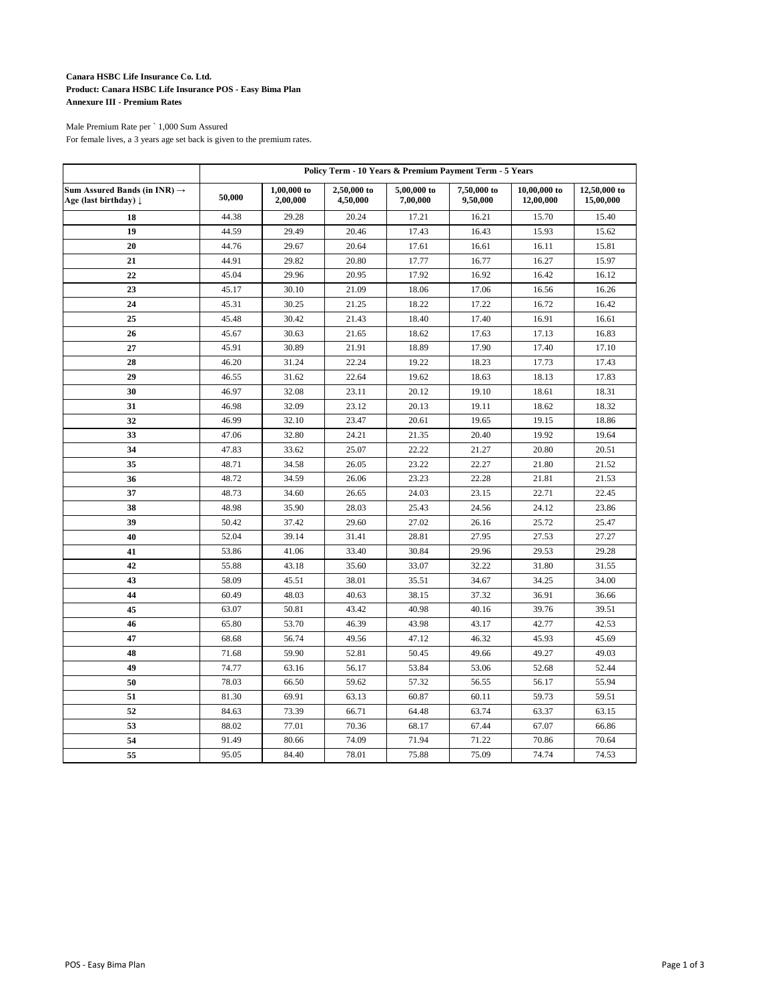# **Canara HSBC Life Insurance Co. Ltd. Product: Canara HSBC Life Insurance POS - Easy Bima Plan Annexure III - Premium Rates**

## Male Premium Rate per ` 1,000 Sum Assured For female lives, a 3 years age set back is given to the premium rates.

|                                                                   | Policy Term - 10 Years & Premium Payment Term - 5 Years |                           |                         |                         |                         |                           |                           |  |
|-------------------------------------------------------------------|---------------------------------------------------------|---------------------------|-------------------------|-------------------------|-------------------------|---------------------------|---------------------------|--|
| Sum Assured Bands (in INR) $\rightarrow$<br>Age (last birthday) ↓ | 50,000                                                  | $1,00,000$ to<br>2,00,000 | 2,50,000 to<br>4,50,000 | 5,00,000 to<br>7,00,000 | 7,50,000 to<br>9,50,000 | 10,00,000 to<br>12,00,000 | 12,50,000 to<br>15,00,000 |  |
| 18                                                                | 44.38                                                   | 29.28                     | 20.24                   | 17.21                   | 16.21                   | 15.70                     | 15.40                     |  |
| 19                                                                | 44.59                                                   | 29.49                     | 20.46                   | 17.43                   | 16.43                   | 15.93                     | 15.62                     |  |
| 20                                                                | 44.76                                                   | 29.67                     | 20.64                   | 17.61                   | 16.61                   | 16.11                     | 15.81                     |  |
| 21                                                                | 44.91                                                   | 29.82                     | 20.80                   | 17.77                   | 16.77                   | 16.27                     | 15.97                     |  |
| 22                                                                | 45.04                                                   | 29.96                     | 20.95                   | 17.92                   | 16.92                   | 16.42                     | 16.12                     |  |
| 23                                                                | 45.17                                                   | 30.10                     | 21.09                   | 18.06                   | 17.06                   | 16.56                     | 16.26                     |  |
| 24                                                                | 45.31                                                   | 30.25                     | 21.25                   | 18.22                   | 17.22                   | 16.72                     | 16.42                     |  |
| 25                                                                | 45.48                                                   | 30.42                     | 21.43                   | 18.40                   | 17.40                   | 16.91                     | 16.61                     |  |
| 26                                                                | 45.67                                                   | 30.63                     | 21.65                   | 18.62                   | 17.63                   | 17.13                     | 16.83                     |  |
| 27                                                                | 45.91                                                   | 30.89                     | 21.91                   | 18.89                   | 17.90                   | 17.40                     | 17.10                     |  |
| 28                                                                | 46.20                                                   | 31.24                     | 22.24                   | 19.22                   | 18.23                   | 17.73                     | 17.43                     |  |
| 29                                                                | 46.55                                                   | 31.62                     | 22.64                   | 19.62                   | 18.63                   | 18.13                     | 17.83                     |  |
| 30                                                                | 46.97                                                   | 32.08                     | 23.11                   | 20.12                   | 19.10                   | 18.61                     | 18.31                     |  |
| 31                                                                | 46.98                                                   | 32.09                     | 23.12                   | 20.13                   | 19.11                   | 18.62                     | 18.32                     |  |
| 32                                                                | 46.99                                                   | 32.10                     | 23.47                   | 20.61                   | 19.65                   | 19.15                     | 18.86                     |  |
| 33                                                                | 47.06                                                   | 32.80                     | 24.21                   | 21.35                   | 20.40                   | 19.92                     | 19.64                     |  |
| 34                                                                | 47.83                                                   | 33.62                     | 25.07                   | 22.22                   | 21.27                   | 20.80                     | 20.51                     |  |
| 35                                                                | 48.71                                                   | 34.58                     | 26.05                   | 23.22                   | 22.27                   | 21.80                     | 21.52                     |  |
| 36                                                                | 48.72                                                   | 34.59                     | 26.06                   | 23.23                   | 22.28                   | 21.81                     | 21.53                     |  |
| 37                                                                | 48.73                                                   | 34.60                     | 26.65                   | 24.03                   | 23.15                   | 22.71                     | 22.45                     |  |
| 38                                                                | 48.98                                                   | 35.90                     | 28.03                   | 25.43                   | 24.56                   | 24.12                     | 23.86                     |  |
| 39                                                                | 50.42                                                   | 37.42                     | 29.60                   | 27.02                   | 26.16                   | 25.72                     | 25.47                     |  |
| 40                                                                | 52.04                                                   | 39.14                     | 31.41                   | 28.81                   | 27.95                   | 27.53                     | 27.27                     |  |
| 41                                                                | 53.86                                                   | 41.06                     | 33.40                   | 30.84                   | 29.96                   | 29.53                     | 29.28                     |  |
| 42                                                                | 55.88                                                   | 43.18                     | 35.60                   | 33.07                   | 32.22                   | 31.80                     | 31.55                     |  |
| 43                                                                | 58.09                                                   | 45.51                     | 38.01                   | 35.51                   | 34.67                   | 34.25                     | 34.00                     |  |
| 44                                                                | 60.49                                                   | 48.03                     | 40.63                   | 38.15                   | 37.32                   | 36.91                     | 36.66                     |  |
| 45                                                                | 63.07                                                   | 50.81                     | 43.42                   | 40.98                   | 40.16                   | 39.76                     | 39.51                     |  |
| 46                                                                | 65.80                                                   | 53.70                     | 46.39                   | 43.98                   | 43.17                   | 42.77                     | 42.53                     |  |
| 47                                                                | 68.68                                                   | 56.74                     | 49.56                   | 47.12                   | 46.32                   | 45.93                     | 45.69                     |  |
| 48                                                                | 71.68                                                   | 59.90                     | 52.81                   | 50.45                   | 49.66                   | 49.27                     | 49.03                     |  |
| 49                                                                | 74.77                                                   | 63.16                     | 56.17                   | 53.84                   | 53.06                   | 52.68                     | 52.44                     |  |
| 50                                                                | 78.03                                                   | 66.50                     | 59.62                   | 57.32                   | 56.55                   | 56.17                     | 55.94                     |  |
| 51                                                                | 81.30                                                   | 69.91                     | 63.13                   | 60.87                   | 60.11                   | 59.73                     | 59.51                     |  |
| 52                                                                | 84.63                                                   | 73.39                     | 66.71                   | 64.48                   | 63.74                   | 63.37                     | 63.15                     |  |
| 53                                                                | 88.02                                                   | 77.01                     | 70.36                   | 68.17                   | 67.44                   | 67.07                     | 66.86                     |  |
| 54                                                                | 91.49                                                   | 80.66                     | 74.09                   | 71.94                   | 71.22                   | 70.86                     | 70.64                     |  |
| 55                                                                | 95.05                                                   | 84.40                     | 78.01                   | 75.88                   | 75.09                   | 74.74                     | 74.53                     |  |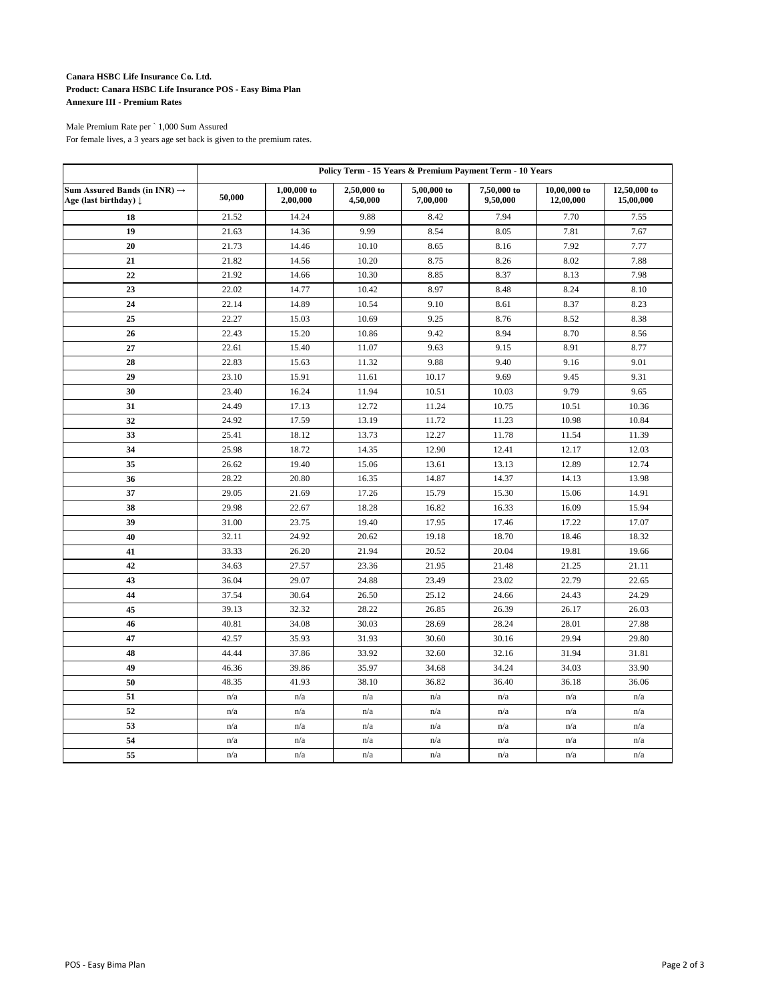# **Canara HSBC Life Insurance Co. Ltd. Product: Canara HSBC Life Insurance POS - Easy Bima Plan Annexure III - Premium Rates**

## Male Premium Rate per ` 1,000 Sum Assured For female lives, a 3 years age set back is given to the premium rates.

|                                                                   | Policy Term - 15 Years & Premium Payment Term - 10 Years |                           |                         |                         |                         |                           |                           |
|-------------------------------------------------------------------|----------------------------------------------------------|---------------------------|-------------------------|-------------------------|-------------------------|---------------------------|---------------------------|
| Sum Assured Bands (in INR) $\rightarrow$<br>Age (last birthday) ↓ | 50,000                                                   | $1,00,000$ to<br>2,00,000 | 2,50,000 to<br>4,50,000 | 5,00,000 to<br>7,00,000 | 7,50,000 to<br>9,50,000 | 10,00,000 to<br>12,00,000 | 12,50,000 to<br>15,00,000 |
| 18                                                                | 21.52                                                    | 14.24                     | 9.88                    | 8.42                    | 7.94                    | 7.70                      | 7.55                      |
| 19                                                                | 21.63                                                    | 14.36                     | 9.99                    | 8.54                    | 8.05                    | 7.81                      | 7.67                      |
| 20                                                                | 21.73                                                    | 14.46                     | 10.10                   | 8.65                    | 8.16                    | 7.92                      | 7.77                      |
| 21                                                                | 21.82                                                    | 14.56                     | 10.20                   | 8.75                    | 8.26                    | 8.02                      | 7.88                      |
| 22                                                                | 21.92                                                    | 14.66                     | 10.30                   | 8.85                    | 8.37                    | 8.13                      | 7.98                      |
| 23                                                                | 22.02                                                    | 14.77                     | 10.42                   | 8.97                    | 8.48                    | 8.24                      | 8.10                      |
| 24                                                                | 22.14                                                    | 14.89                     | 10.54                   | 9.10                    | 8.61                    | 8.37                      | 8.23                      |
| 25                                                                | 22.27                                                    | 15.03                     | 10.69                   | 9.25                    | 8.76                    | 8.52                      | 8.38                      |
| 26                                                                | 22.43                                                    | 15.20                     | 10.86                   | 9.42                    | 8.94                    | 8.70                      | 8.56                      |
| 27                                                                | 22.61                                                    | 15.40                     | 11.07                   | 9.63                    | 9.15                    | 8.91                      | 8.77                      |
| 28                                                                | 22.83                                                    | 15.63                     | 11.32                   | 9.88                    | 9.40                    | 9.16                      | 9.01                      |
| 29                                                                | 23.10                                                    | 15.91                     | 11.61                   | 10.17                   | 9.69                    | 9.45                      | 9.31                      |
| 30                                                                | 23.40                                                    | 16.24                     | 11.94                   | 10.51                   | 10.03                   | 9.79                      | 9.65                      |
| 31                                                                | 24.49                                                    | 17.13                     | 12.72                   | 11.24                   | 10.75                   | 10.51                     | 10.36                     |
| 32                                                                | 24.92                                                    | 17.59                     | 13.19                   | 11.72                   | 11.23                   | 10.98                     | 10.84                     |
| 33                                                                | 25.41                                                    | 18.12                     | 13.73                   | 12.27                   | 11.78                   | 11.54                     | 11.39                     |
| 34                                                                | 25.98                                                    | 18.72                     | 14.35                   | 12.90                   | 12.41                   | 12.17                     | 12.03                     |
| 35                                                                | 26.62                                                    | 19.40                     | 15.06                   | 13.61                   | 13.13                   | 12.89                     | 12.74                     |
| 36                                                                | 28.22                                                    | 20.80                     | 16.35                   | 14.87                   | 14.37                   | 14.13                     | 13.98                     |
| 37                                                                | 29.05                                                    | 21.69                     | 17.26                   | 15.79                   | 15.30                   | 15.06                     | 14.91                     |
| 38                                                                | 29.98                                                    | 22.67                     | 18.28                   | 16.82                   | 16.33                   | 16.09                     | 15.94                     |
| 39                                                                | 31.00                                                    | 23.75                     | 19.40                   | 17.95                   | 17.46                   | 17.22                     | 17.07                     |
| 40                                                                | 32.11                                                    | 24.92                     | 20.62                   | 19.18                   | 18.70                   | 18.46                     | 18.32                     |
| 41                                                                | 33.33                                                    | 26.20                     | 21.94                   | 20.52                   | 20.04                   | 19.81                     | 19.66                     |
| 42                                                                | 34.63                                                    | 27.57                     | 23.36                   | 21.95                   | 21.48                   | 21.25                     | 21.11                     |
| 43                                                                | 36.04                                                    | 29.07                     | 24.88                   | 23.49                   | 23.02                   | 22.79                     | 22.65                     |
| 44                                                                | 37.54                                                    | 30.64                     | 26.50                   | 25.12                   | 24.66                   | 24.43                     | 24.29                     |
| 45                                                                | 39.13                                                    | 32.32                     | 28.22                   | 26.85                   | 26.39                   | 26.17                     | 26.03                     |
| 46                                                                | 40.81                                                    | 34.08                     | 30.03                   | 28.69                   | 28.24                   | 28.01                     | 27.88                     |
| 47                                                                | 42.57                                                    | 35.93                     | 31.93                   | 30.60                   | 30.16                   | 29.94                     | 29.80                     |
| 48                                                                | 44.44                                                    | 37.86                     | 33.92                   | 32.60                   | 32.16                   | 31.94                     | 31.81                     |
| 49                                                                | 46.36                                                    | 39.86                     | 35.97                   | 34.68                   | 34.24                   | 34.03                     | 33.90                     |
| 50                                                                | 48.35                                                    | 41.93                     | 38.10                   | 36.82                   | 36.40                   | 36.18                     | 36.06                     |
| 51                                                                | n/a                                                      | n/a                       | n/a                     | n/a                     | n/a                     | n/a                       | n/a                       |
| 52                                                                | n/a                                                      | n/a                       | n/a                     | n/a                     | n/a                     | n/a                       | n/a                       |
| 53                                                                | n/a                                                      | n/a                       | n/a                     | n/a                     | n/a                     | n/a                       | n/a                       |
| 54                                                                | n/a                                                      | n/a                       | n/a                     | n/a                     | n/a                     | n/a                       | n/a                       |
| 55                                                                | n/a                                                      | n/a                       | n/a                     | n/a                     | n/a                     | n/a                       | n/a                       |